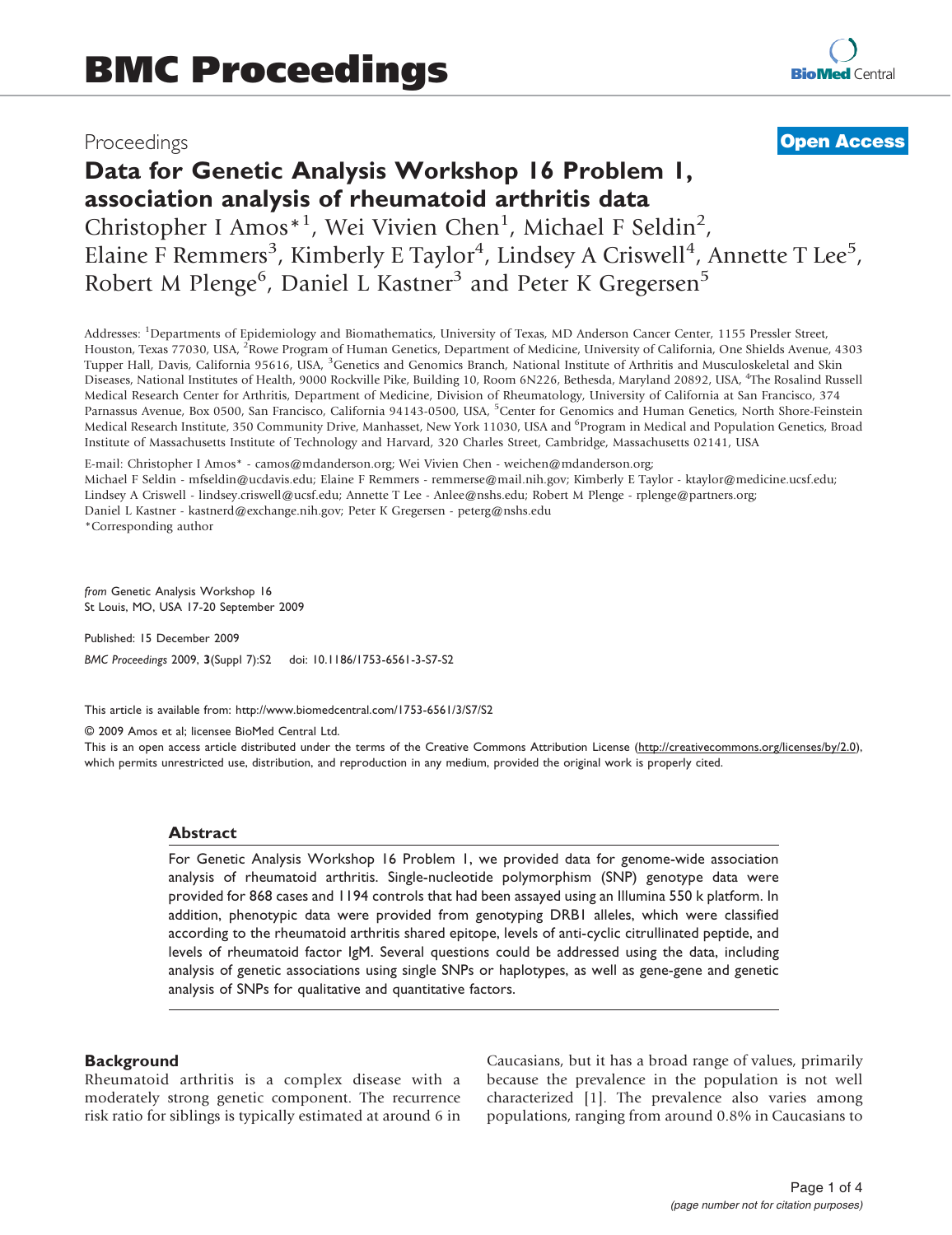## Proceedings

## **[Open Access](http://www.biomedcentral.com/info/about/charter/)**

# Data for Genetic Analysis Workshop 16 Problem 1, association analysis of rheumatoid arthritis data Christopher I Amos<sup>\*1</sup>, Wei Vivien Chen<sup>1</sup>, Michael F Seldin<sup>2</sup>,

Elaine F Remmers<sup>3</sup>, Kimberly E Taylor<sup>4</sup>, Lindsey A Criswell<sup>4</sup>, Annette T Lee<sup>5</sup>, Robert M Plenge<sup>6</sup>, Daniel L Kastner<sup>3</sup> and Peter K Gregersen<sup>5</sup>

Addresses: <sup>1</sup>Departments of Epidemiology and Biomathematics, University of Texas, MD Anderson Cancer Center, 1155 Pressler Street, Houston, Texas 77030, USA, <sup>2</sup>Rowe Program of Human Genetics, Department of Medicine, University of California, One Shields Avenue, 4303 Tupper Hall, Davis, California 95616, USA, <sup>3</sup>Genetics and Genomics Branch, National Institute of Arthritis and Musculoskeletal and Skin Diseases, National Institutes of Health, 9000 Rockville Pike, Building 10, Room 6N226, Bethesda, Maryland 20892, USA, <sup>4</sup> The Rosalind Russell Medical Research Center for Arthritis, Department of Medicine, Division of Rheumatology, University of California at San Francisco, 374 Parnassus Avenue, Box 0500, San Francisco, California 94143-0500, USA, <sup>5</sup>Center for Genomics and Human Genetics, North Shore-Feinstein Medical Research Institute, 350 Community Drive, Manhasset, New York 11030, USA and <sup>6</sup>Program in Medical and Population Genetics, Broad Institute of Massachusetts Institute of Technology and Harvard, 320 Charles Street, Cambridge, Massachusetts 02141, USA

E-mail: Christopher I Amos\* - [camos@mdanderson.org](mailto:camos@mdanderson.org); Wei Vivien Chen - [weichen@mdanderson.org](mailto:weichen@mdanderson.org); Michael F Seldin - [mfseldin@ucdavis.edu;](mailto:mfseldin@ucdavis.edu) Elaine F Remmers - [remmerse@mail.nih.gov](mailto:remmerse@mail.nih.gov); Kimberly E Taylor - [ktaylor@medicine.ucsf.edu;](mailto:ktaylor@medicine.ucsf.edu) Lindsey A Criswell - [lindsey.criswell@ucsf.edu](mailto:lindsey.criswell@ucsf.edu); Annette T Lee - [Anlee@nshs.edu;](mailto:Anlee@nshs.edu) Robert M Plenge - [rplenge@partners.org;](mailto:rplenge@partners.org) Daniel L Kastner - [kastnerd@exchange.nih.gov](mailto:kastnerd@exchange.nih.gov); Peter K Gregersen - [peterg@nshs.edu](mailto:peterg@nshs.edu) \*Corresponding author

from Genetic Analysis Workshop 16 St Louis, MO, USA 17-20 September 2009

Published: 15 December 2009 BMC Proceedings 2009, 3(Suppl 7):S2 doi: 10.1186/1753-6561-3-S7-S2

This article is available from: http://www.biomedcentral.com/1753-6561/3/S7/S2

© 2009 Amos et al; licensee BioMed Central Ltd.

This is an open access article distributed under the terms of the Creative Commons Attribution License [\(http://creativecommons.org/licenses/by/2.0\)](http://creativecommons.org/licenses/by/2.0), which permits unrestricted use, distribution, and reproduction in any medium, provided the original work is properly cited.

#### Abstract

For Genetic Analysis Workshop 16 Problem 1, we provided data for genome-wide association analysis of rheumatoid arthritis. Single-nucleotide polymorphism (SNP) genotype data were provided for 868 cases and 1194 controls that had been assayed using an Illumina 550 k platform. In addition, phenotypic data were provided from genotyping DRB1 alleles, which were classified according to the rheumatoid arthritis shared epitope, levels of anti-cyclic citrullinated peptide, and levels of rheumatoid factor IgM. Several questions could be addressed using the data, including analysis of genetic associations using single SNPs or haplotypes, as well as gene-gene and genetic analysis of SNPs for qualitative and quantitative factors.

#### **Background**

Rheumatoid arthritis is a complex disease with a moderately strong genetic component. The recurrence risk ratio for siblings is typically estimated at around 6 in Caucasians, but it has a broad range of values, primarily because the prevalence in the population is not well characterized [[1](#page-3-0)]. The prevalence also varies among populations, ranging from around 0.8% in Caucasians to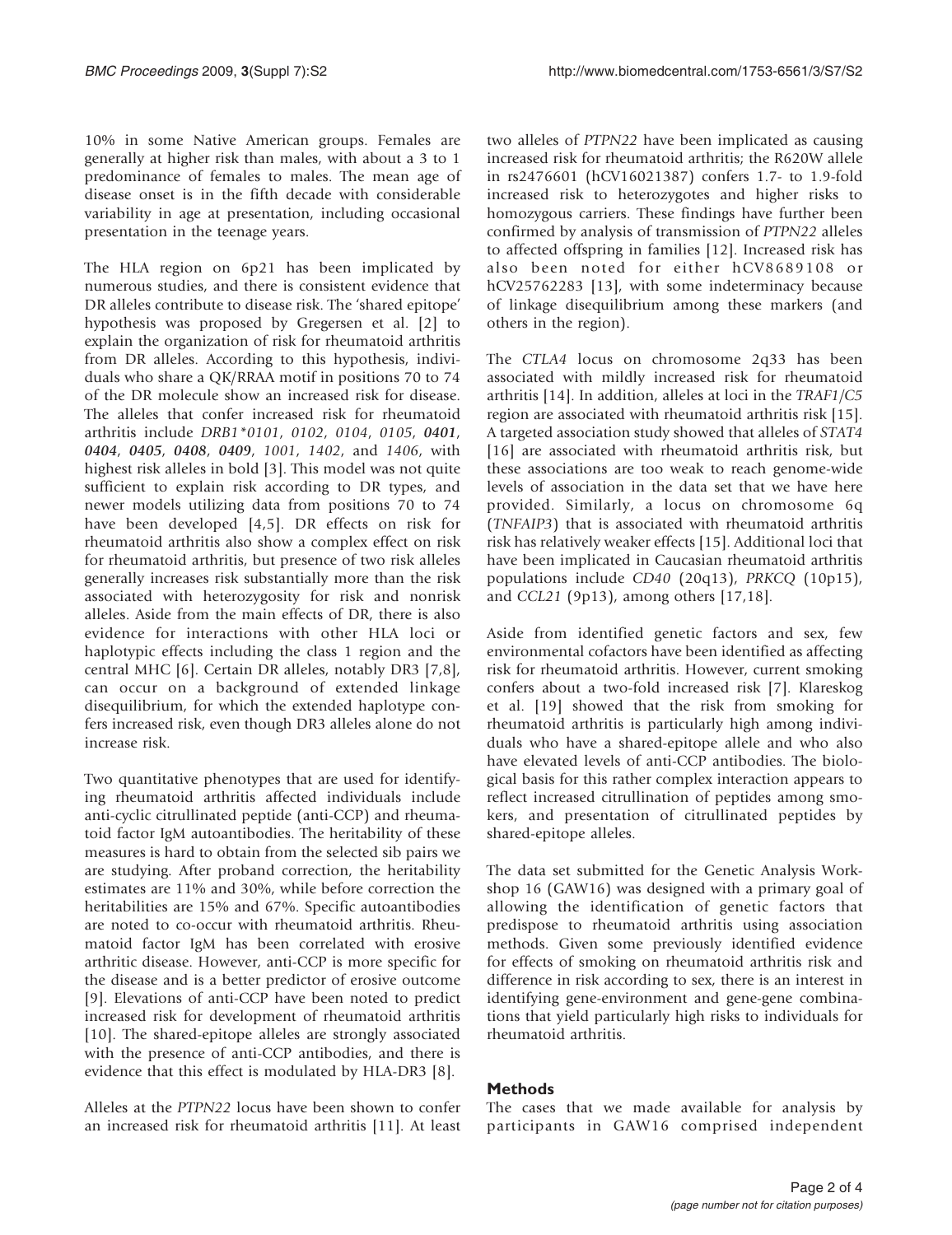10% in some Native American groups. Females are generally at higher risk than males, with about a 3 to 1 predominance of females to males. The mean age of disease onset is in the fifth decade with considerable variability in age at presentation, including occasional presentation in the teenage years.

The HLA region on 6p21 has been implicated by numerous studies, and there is consistent evidence that DR alleles contribute to disease risk. The 'shared epitope' hypothesis was proposed by Gregersen et al. [[2](#page-3-0)] to explain the organization of risk for rheumatoid arthritis from DR alleles. According to this hypothesis, individuals who share a QK/RRAA motif in positions 70 to 74 of the DR molecule show an increased risk for disease. The alleles that confer increased risk for rheumatoid arthritis include DRB1\*0101, 0102, 0104, 0105, 0401, 0404, 0405, 0408, 0409, 1001, 1402, and 1406, with highest risk alleles in bold [\[3\]](#page-3-0). This model was not quite sufficient to explain risk according to DR types, and newer models utilizing data from positions 70 to 74 have been developed [[4](#page-3-0),[5](#page-3-0)]. DR effects on risk for rheumatoid arthritis also show a complex effect on risk for rheumatoid arthritis, but presence of two risk alleles generally increases risk substantially more than the risk associated with heterozygosity for risk and nonrisk alleles. Aside from the main effects of DR, there is also evidence for interactions with other HLA loci or haplotypic effects including the class 1 region and the central MHC [[6](#page-3-0)]. Certain DR alleles, notably DR3 [[7](#page-3-0),[8](#page-3-0)], can occur on a background of extended linkage disequilibrium, for which the extended haplotype confers increased risk, even though DR3 alleles alone do not increase risk.

Two quantitative phenotypes that are used for identifying rheumatoid arthritis affected individuals include anti-cyclic citrullinated peptide (anti-CCP) and rheumatoid factor IgM autoantibodies. The heritability of these measures is hard to obtain from the selected sib pairs we are studying. After proband correction, the heritability estimates are 11% and 30%, while before correction the heritabilities are 15% and 67%. Specific autoantibodies are noted to co-occur with rheumatoid arthritis. Rheumatoid factor IgM has been correlated with erosive arthritic disease. However, anti-CCP is more specific for the disease and is a better predictor of erosive outcome [[9](#page-3-0)]. Elevations of anti-CCP have been noted to predict increased risk for development of rheumatoid arthritis [[10\]](#page-3-0). The shared-epitope alleles are strongly associated with the presence of anti-CCP antibodies, and there is evidence that this effect is modulated by HLA-DR3 [\[8\]](#page-3-0).

Alleles at the PTPN22 locus have been shown to confer an increased risk for rheumatoid arthritis [\[11](#page-3-0)]. At least

two alleles of PTPN22 have been implicated as causing increased risk for rheumatoid arthritis; the R620W allele in rs2476601 (hCV16021387) confers 1.7- to 1.9-fold increased risk to heterozygotes and higher risks to homozygous carriers. These findings have further been confirmed by analysis of transmission of PTPN22 alleles to affected offspring in families [[12\]](#page-3-0). Increased risk has also been noted for either hCV8689108 or hCV25762283 [\[13](#page-3-0)], with some indeterminacy because of linkage disequilibrium among these markers (and others in the region).

The CTLA4 locus on chromosome 2q33 has been associated with mildly increased risk for rheumatoid arthritis [[14\]](#page-3-0). In addition, alleles at loci in the TRAF1/C5 region are associated with rheumatoid arthritis risk [\[15](#page-3-0)]. A targeted association study showed that alleles of STAT4 [[16](#page-3-0)] are associated with rheumatoid arthritis risk, but these associations are too weak to reach genome-wide levels of association in the data set that we have here provided. Similarly, a locus on chromosome 6q (TNFAIP3) that is associated with rheumatoid arthritis risk has relatively weaker effects [\[15](#page-3-0)]. Additional loci that have been implicated in Caucasian rheumatoid arthritis populations include CD40 (20q13), PRKCQ (10p15), and CCL21 (9p13), among others [\[17](#page-3-0),[18\]](#page-3-0).

Aside from identified genetic factors and sex, few environmental cofactors have been identified as affecting risk for rheumatoid arthritis. However, current smoking confers about a two-fold increased risk [[7](#page-3-0)]. Klareskog et al. [\[19](#page-3-0)] showed that the risk from smoking for rheumatoid arthritis is particularly high among individuals who have a shared-epitope allele and who also have elevated levels of anti-CCP antibodies. The biological basis for this rather complex interaction appears to reflect increased citrullination of peptides among smokers, and presentation of citrullinated peptides by shared-epitope alleles.

The data set submitted for the Genetic Analysis Workshop 16 (GAW16) was designed with a primary goal of allowing the identification of genetic factors that predispose to rheumatoid arthritis using association methods. Given some previously identified evidence for effects of smoking on rheumatoid arthritis risk and difference in risk according to sex, there is an interest in identifying gene-environment and gene-gene combinations that yield particularly high risks to individuals for rheumatoid arthritis.

#### **Methods**

The cases that we made available for analysis by participants in GAW16 comprised independent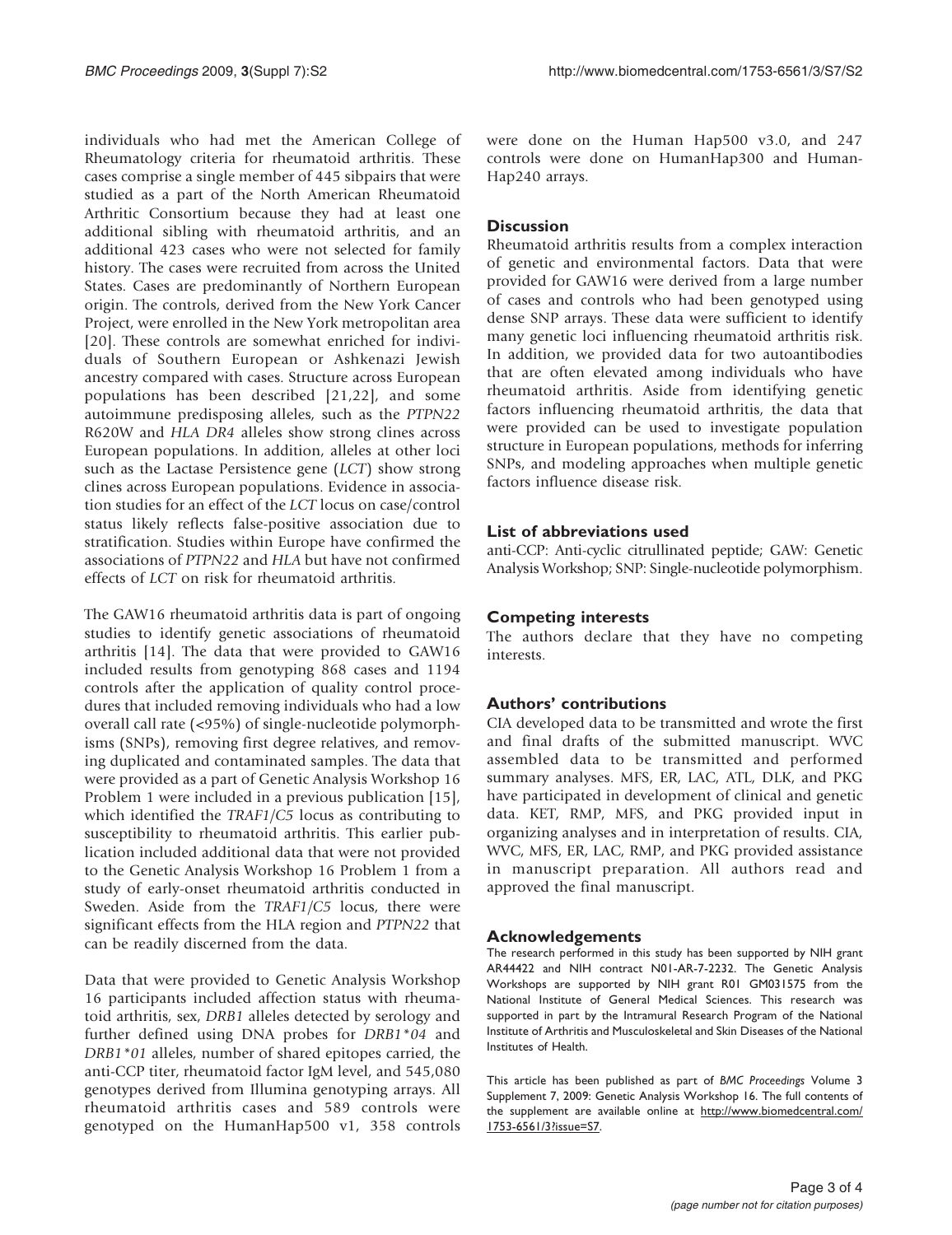individuals who had met the American College of Rheumatology criteria for rheumatoid arthritis. These cases comprise a single member of 445 sibpairs that were studied as a part of the North American Rheumatoid Arthritic Consortium because they had at least one additional sibling with rheumatoid arthritis, and an additional 423 cases who were not selected for family history. The cases were recruited from across the United States. Cases are predominantly of Northern European origin. The controls, derived from the New York Cancer Project, were enrolled in the New York metropolitan area [[20\]](#page-3-0). These controls are somewhat enriched for individuals of Southern European or Ashkenazi Jewish ancestry compared with cases. Structure across European populations has been described [\[21](#page-3-0),[22\]](#page-3-0), and some autoimmune predisposing alleles, such as the PTPN22 R620W and HLA DR4 alleles show strong clines across European populations. In addition, alleles at other loci such as the Lactase Persistence gene (LCT) show strong clines across European populations. Evidence in association studies for an effect of the LCT locus on case/control status likely reflects false-positive association due to stratification. Studies within Europe have confirmed the associations of PTPN22 and HLA but have not confirmed effects of LCT on risk for rheumatoid arthritis.

The GAW16 rheumatoid arthritis data is part of ongoing studies to identify genetic associations of rheumatoid arthritis [[14](#page-3-0)]. The data that were provided to GAW16 included results from genotyping 868 cases and 1194 controls after the application of quality control procedures that included removing individuals who had a low overall call rate (<95%) of single-nucleotide polymorphisms (SNPs), removing first degree relatives, and removing duplicated and contaminated samples. The data that were provided as a part of Genetic Analysis Workshop 16 Problem 1 were included in a previous publication [\[15](#page-3-0)], which identified the TRAF1/C5 locus as contributing to susceptibility to rheumatoid arthritis. This earlier publication included additional data that were not provided to the Genetic Analysis Workshop 16 Problem 1 from a study of early-onset rheumatoid arthritis conducted in Sweden. Aside from the TRAF1/C5 locus, there were significant effects from the HLA region and PTPN22 that can be readily discerned from the data.

Data that were provided to Genetic Analysis Workshop 16 participants included affection status with rheumatoid arthritis, sex, DRB1 alleles detected by serology and further defined using DNA probes for DRB1\*04 and DRB1\*01 alleles, number of shared epitopes carried, the anti-CCP titer, rheumatoid factor IgM level, and 545,080 genotypes derived from Illumina genotyping arrays. All rheumatoid arthritis cases and 589 controls were genotyped on the HumanHap500 v1, 358 controls were done on the Human Hap500 v3.0, and 247 controls were done on HumanHap300 and Human-Hap240 arrays.

### **Discussion**

Rheumatoid arthritis results from a complex interaction of genetic and environmental factors. Data that were provided for GAW16 were derived from a large number of cases and controls who had been genotyped using dense SNP arrays. These data were sufficient to identify many genetic loci influencing rheumatoid arthritis risk. In addition, we provided data for two autoantibodies that are often elevated among individuals who have rheumatoid arthritis. Aside from identifying genetic factors influencing rheumatoid arthritis, the data that were provided can be used to investigate population structure in European populations, methods for inferring SNPs, and modeling approaches when multiple genetic factors influence disease risk.

## List of abbreviations used

anti-CCP: Anti-cyclic citrullinated peptide; GAW: Genetic Analysis Workshop; SNP: Single-nucleotide polymorphism.

### Competing interests

The authors declare that they have no competing interests.

#### Authors' contributions

CIA developed data to be transmitted and wrote the first and final drafts of the submitted manuscript. WVC assembled data to be transmitted and performed summary analyses. MFS, ER, LAC, ATL, DLK, and PKG have participated in development of clinical and genetic data. KET, RMP, MFS, and PKG provided input in organizing analyses and in interpretation of results. CIA, WVC, MFS, ER, LAC, RMP, and PKG provided assistance in manuscript preparation. All authors read and approved the final manuscript.

#### Acknowledgements

The research performed in this study has been supported by NIH grant AR44422 and NIH contract N01-AR-7-2232. The Genetic Analysis Workshops are supported by NIH grant R01 GM031575 from the National Institute of General Medical Sciences. This research was supported in part by the Intramural Research Program of the National Institute of Arthritis and Musculoskeletal and Skin Diseases of the National Institutes of Health.

This article has been published as part of BMC Proceedings Volume 3 Supplement 7, 2009: Genetic Analysis Workshop 16. The full contents of the supplement are available online at [http://www.biomedcentral.com/](http://www.biomedcentral.com/1753-6561/3?issue=S7) [1753-6561/3?issue=S7](http://www.biomedcentral.com/1753-6561/3?issue=S7).